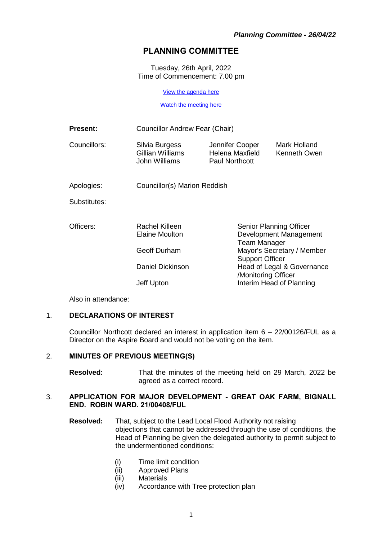# **PLANNING COMMITTEE**

Tuesday, 26th April, 2022 Time of Commencement: 7.00 pm

[View the agenda here](https://moderngov.newcastle-staffs.gov.uk/ieListDocuments.aspx?CId=119&MId=3519&Ver=4)

[Watch the meeting here](https://youtu.be/krhtHTUu4XE)

| <b>Present:</b> | Councillor Andrew Fear (Chair)                      |                                                             |                                                                                                                                                                                                            |  |
|-----------------|-----------------------------------------------------|-------------------------------------------------------------|------------------------------------------------------------------------------------------------------------------------------------------------------------------------------------------------------------|--|
| Councillors:    | Silvia Burgess<br>Gillian Williams<br>John Williams | Jennifer Cooper<br>Helena Maxfield<br><b>Paul Northcott</b> | Mark Holland<br>Kenneth Owen                                                                                                                                                                               |  |
| Apologies:      | Councillor(s) Marion Reddish                        |                                                             |                                                                                                                                                                                                            |  |
| Substitutes:    |                                                     |                                                             |                                                                                                                                                                                                            |  |
| Officers:       | Rachel Killeen<br>Elaine Moulton                    |                                                             | Senior Planning Officer<br>Development Management<br>Team Manager<br>Mayor's Secretary / Member<br><b>Support Officer</b><br>Head of Legal & Governance<br>/Monitoring Officer<br>Interim Head of Planning |  |
|                 | Geoff Durham                                        |                                                             |                                                                                                                                                                                                            |  |
|                 | Daniel Dickinson                                    |                                                             |                                                                                                                                                                                                            |  |
|                 | Jeff Upton                                          |                                                             |                                                                                                                                                                                                            |  |

Also in attendance:

## 1. **DECLARATIONS OF INTEREST**

Councillor Northcott declared an interest in application item 6 – 22/00126/FUL as a Director on the Aspire Board and would not be voting on the item.

#### 2. **MINUTES OF PREVIOUS MEETING(S)**

**Resolved:** That the minutes of the meeting held on 29 March, 2022 be agreed as a correct record.

#### 3. **APPLICATION FOR MAJOR DEVELOPMENT - GREAT OAK FARM, BIGNALL END. ROBIN WARD. 21/00408/FUL**

- **Resolved:** That, subject to the Lead Local Flood Authority not raising objections that cannot be addressed through the use of conditions, the Head of Planning be given the delegated authority to permit subject to the undermentioned conditions:
	- (i) Time limit condition
	- (ii) Approved Plans
	- (iii) Materials
	- (iv) Accordance with Tree protection plan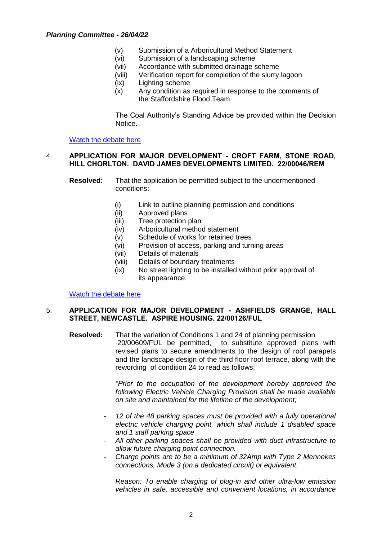### *Planning Committee - 26/04/22*

- (v) Submission of a Arboricultural Method Statement
- (vi) Submission of a landscaping scheme
- (vii) Accordance with submitted drainage scheme
- (viii) Verification report for completion of the slurry lagoon
- (ix) Lighting scheme
- (x) Any condition as required in response to the comments of the Staffordshire Flood Team

The Coal Authority's Standing Advice be provided within the Decision Notice.

[Watch the debate here](https://youtu.be/krhtHTUu4XE?t=55)

### 4. **APPLICATION FOR MAJOR DEVELOPMENT - CROFT FARM, STONE ROAD, HILL CHORLTON. DAVID JAMES DEVELOPMENTS LIMITED. 22/00046/REM**

- **Resolved:** That the application be permitted subject to the undermentioned conditions:
	- (i) Link to outline planning permission and conditions
	- (ii) Approved plans
	- (iii) Tree protection plan
	- (iv) Arboricultural method statement
	- (v) Schedule of works for retained trees
	- (vi) Provision of access, parking and turning areas
	- (vii) Details of materials
	- (viii) Details of boundary treatments
	- (ix) No street lighting to be installed without prior approval of its appearance.

[Watch the debate here](https://youtu.be/krhtHTUu4XE?t=199)

#### 5. **APPLICATION FOR MAJOR DEVELOPMENT - ASHFIELDS GRANGE, HALL STREET, NEWCASTLE. ASPIRE HOUSING. 22/00126/FUL**

**Resolved:** That the variation of Conditions 1 and 24 of planning permission 20/00609/FUL be permitted, to substitute approved plans with revised plans to secure amendments to the design of roof parapets and the landscape design of the third floor roof terrace, along with the rewording of condition 24 to read as follows;

> *"Prior to the occupation of the development hereby approved the following Electric Vehicle Charging Provision shall be made available on site and maintained for the lifetime of the development;*

- *12 of the 48 parking spaces must be provided with a fully operational electric vehicle charging point, which shall include 1 disabled space and 1 staff parking space*
- *All other parking spaces shall be provided with duct infrastructure to allow future charging point connection.*
- *Charge points are to be a minimum of 32Amp with Type 2 Mennekes connections, Mode 3 (on a dedicated circuit) or equivalent.*

*Reason: To enable charging of plug-in and other ultra-low emission vehicles in safe, accessible and convenient locations, in accordance*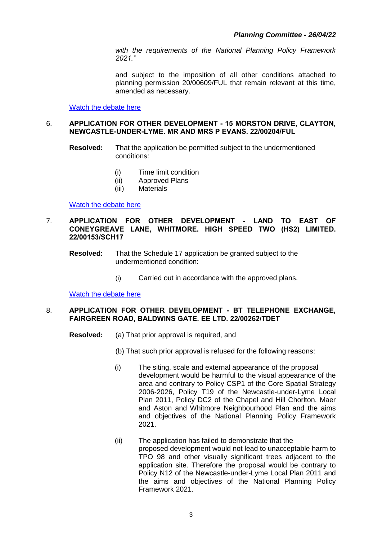*with the requirements of the National Planning Policy Framework 2021."*

and subject to the imposition of all other conditions attached to planning permission 20/00609/FUL that remain relevant at this time, amended as necessary.

[Watch the debate here](https://youtu.be/krhtHTUu4XE?t=3094)

#### 6. **APPLICATION FOR OTHER DEVELOPMENT - 15 MORSTON DRIVE, CLAYTON, NEWCASTLE-UNDER-LYME. MR AND MRS P EVANS. 22/00204/FUL**

**Resolved:** That the application be permitted subject to the undermentioned conditions:

- (i) Time limit condition
- (ii) Approved Plans
- (iii) Materials

[Watch the debate here](https://youtu.be/krhtHTUu4XE?t=4010)

#### 7. **APPLICATION FOR OTHER DEVELOPMENT - LAND TO EAST OF CONEYGREAVE LANE, WHITMORE. HIGH SPEED TWO (HS2) LIMITED. 22/00153/SCH17**

**Resolved:** That the Schedule 17 application be granted subject to the undermentioned condition:

(i) Carried out in accordance with the approved plans.

[Watch the debate here](https://youtu.be/krhtHTUu4XE?t=4035)

#### 8. **APPLICATION FOR OTHER DEVELOPMENT - BT TELEPHONE EXCHANGE, FAIRGREEN ROAD, BALDWINS GATE. EE LTD. 22/00262/TDET**

- **Resolved:** (a) That prior approval is required, and
	- (b) That such prior approval is refused for the following reasons:
	- (i) The siting, scale and external appearance of the proposal development would be harmful to the visual appearance of the area and contrary to Policy CSP1 of the Core Spatial Strategy 2006-2026, Policy T19 of the Newcastle-under-Lyme Local Plan 2011, Policy DC2 of the Chapel and Hill Chorlton, Maer and Aston and Whitmore Neighbourhood Plan and the aims and objectives of the National Planning Policy Framework 2021.
	- (ii) The application has failed to demonstrate that the proposed development would not lead to unacceptable harm to TPO 98 and other visually significant trees adjacent to the application site. Therefore the proposal would be contrary to Policy N12 of the Newcastle-under-Lyme Local Plan 2011 and the aims and objectives of the National Planning Policy Framework 2021.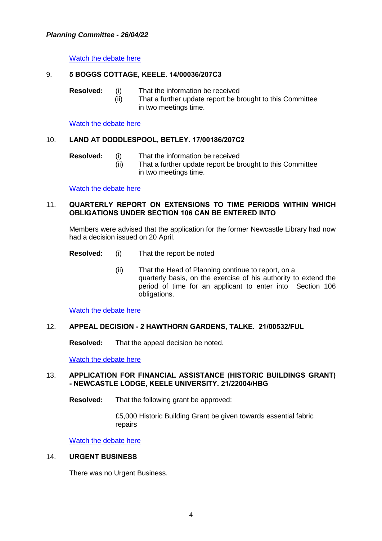## *Planning Committee - 26/04/22*

[Watch the debate here](https://youtu.be/krhtHTUu4XE?t=4483)

## 9. **5 BOGGS COTTAGE, KEELE. 14/00036/207C3**

- **Resolved:** (i) That the information be received
	- (ii) That a further update report be brought to this Committee in two meetings time.

[Watch the debate here](https://youtu.be/krhtHTUu4XE?t=4781)

#### 10. **LAND AT DODDLESPOOL, BETLEY. 17/00186/207C2**

- 
- **Resolved:** (i) That the information be received
	- (ii) That a further update report be brought to this Committee in two meetings time.

[Watch the debate here](https://youtu.be/krhtHTUu4XE?t=4809)

### 11. **QUARTERLY REPORT ON EXTENSIONS TO TIME PERIODS WITHIN WHICH OBLIGATIONS UNDER SECTION 106 CAN BE ENTERED INTO**

Members were advised that the application for the former Newcastle Library had now had a decision issued on 20 April.

- **Resolved:** (i) That the report be noted
	- (ii) That the Head of Planning continue to report, on a quarterly basis, on the exercise of his authority to extend the period of time for an applicant to enter into Section 106 obligations.

[Watch the debate here](https://youtu.be/krhtHTUu4XE?t=4861)

#### 12. **APPEAL DECISION - 2 HAWTHORN GARDENS, TALKE. 21/00532/FUL**

**Resolved:** That the appeal decision be noted.

[Watch the debate here](https://youtu.be/krhtHTUu4XE?t=4892)

#### 13. **APPLICATION FOR FINANCIAL ASSISTANCE (HISTORIC BUILDINGS GRANT) - NEWCASTLE LODGE, KEELE UNIVERSITY. 21/22004/HBG**

**Resolved:** That the following grant be approved:

£5,000 Historic Building Grant be given towards essential fabric repairs

Watch [the debate here](https://youtu.be/krhtHTUu4XE?t=4906)

#### 14. **URGENT BUSINESS**

There was no Urgent Business.